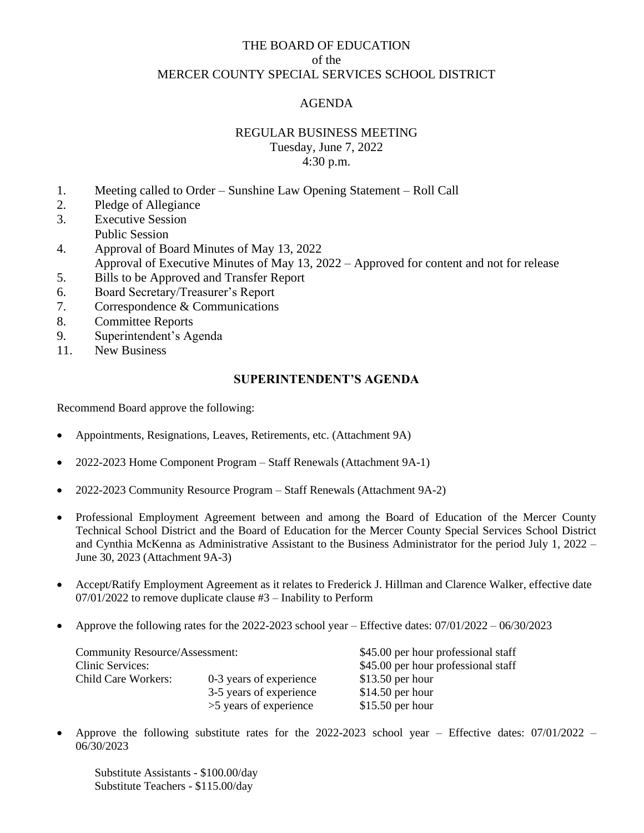## THE BOARD OF EDUCATION of the MERCER COUNTY SPECIAL SERVICES SCHOOL DISTRICT

## AGENDA

## REGULAR BUSINESS MEETING

Tuesday, June 7, 2022 4:30 p.m.

- 1. Meeting called to Order Sunshine Law Opening Statement Roll Call
- 2. Pledge of Allegiance 3. Executive Session
- Public Session
- 4. Approval of Board Minutes of May 13, 2022 Approval of Executive Minutes of May 13, 2022 – Approved for content and not for release
- 5. Bills to be Approved and Transfer Report
- 6. Board Secretary/Treasurer's Report
- 7. Correspondence & Communications
- 8. Committee Reports
- 9. Superintendent's Agenda<br>11. New Business
- New Business

### **SUPERINTENDENT'S AGENDA**

Recommend Board approve the following:

- Appointments, Resignations, Leaves, Retirements, etc. (Attachment 9A)
- 2022-2023 Home Component Program Staff Renewals (Attachment 9A-1)
- 2022-2023 Community Resource Program Staff Renewals (Attachment 9A-2)
- Professional Employment Agreement between and among the Board of Education of the Mercer County Technical School District and the Board of Education for the Mercer County Special Services School District and Cynthia McKenna as Administrative Assistant to the Business Administrator for the period July 1, 2022 – June 30, 2023 (Attachment 9A-3)
- Accept/Ratify Employment Agreement as it relates to Frederick J. Hillman and Clarence Walker, effective date 07/01/2022 to remove duplicate clause #3 – Inability to Perform
- Approve the following rates for the 2022-2023 school year Effective dates: 07/01/2022 06/30/2023

| <b>Community Resource/Assessment:</b> |                         | \$45.00 per hour professional staff |  |  |
|---------------------------------------|-------------------------|-------------------------------------|--|--|
| Clinic Services:                      |                         | \$45.00 per hour professional staff |  |  |
| Child Care Workers:                   | 0-3 years of experience | $$13.50$ per hour                   |  |  |
|                                       | 3-5 years of experience | $$14.50$ per hour                   |  |  |
|                                       | >5 years of experience  | $$15.50$ per hour                   |  |  |

Approve the following substitute rates for the 2022-2023 school year – Effective dates:  $07/01/2022$  – 06/30/2023

Substitute Assistants - \$100.00/day Substitute Teachers - \$115.00/day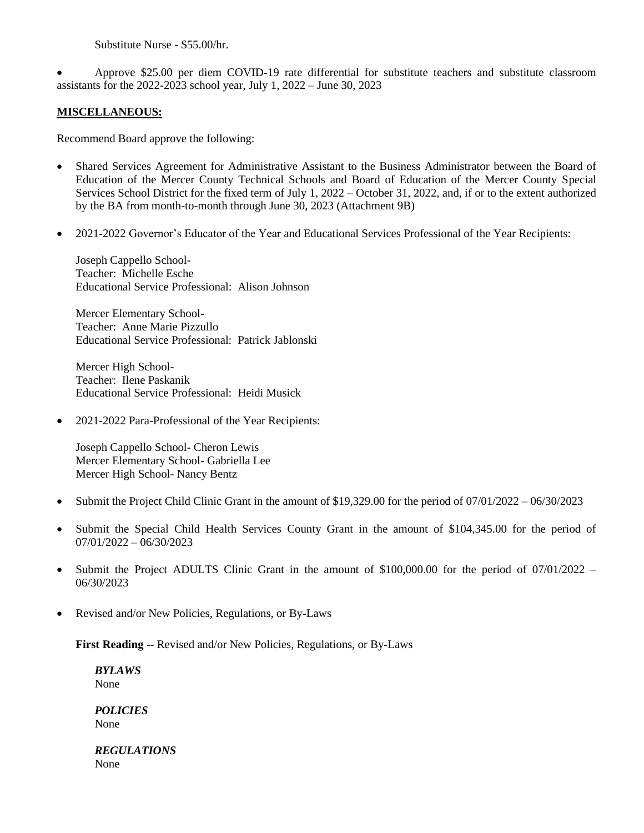Substitute Nurse - \$55.00/hr.

• Approve \$25.00 per diem COVID-19 rate differential for substitute teachers and substitute classroom assistants for the 2022-2023 school year, July 1, 2022 – June 30, 2023

### **MISCELLANEOUS:**

Recommend Board approve the following:

- Shared Services Agreement for Administrative Assistant to the Business Administrator between the Board of Education of the Mercer County Technical Schools and Board of Education of the Mercer County Special Services School District for the fixed term of July 1, 2022 – October 31, 2022, and, if or to the extent authorized by the BA from month-to-month through June 30, 2023 (Attachment 9B)
- 2021-2022 Governor's Educator of the Year and Educational Services Professional of the Year Recipients:

Joseph Cappello School-Teacher: Michelle Esche Educational Service Professional: Alison Johnson

Mercer Elementary School-Teacher: Anne Marie Pizzullo Educational Service Professional: Patrick Jablonski

Mercer High School-Teacher: Ilene Paskanik Educational Service Professional: Heidi Musick

• 2021-2022 Para-Professional of the Year Recipients:

Joseph Cappello School- Cheron Lewis Mercer Elementary School- Gabriella Lee Mercer High School- Nancy Bentz

- Submit the Project Child Clinic Grant in the amount of \$19,329.00 for the period of 07/01/2022 06/30/2023
- Submit the Special Child Health Services County Grant in the amount of \$104,345.00 for the period of 07/01/2022 – 06/30/2023
- Submit the Project ADULTS Clinic Grant in the amount of \$100,000.00 for the period of 07/01/2022 06/30/2023
- Revised and/or New Policies, Regulations, or By-Laws

**First Reading** -- Revised and/or New Policies, Regulations, or By-Laws

*BYLAWS* None

*POLICIES* None

*REGULATIONS* None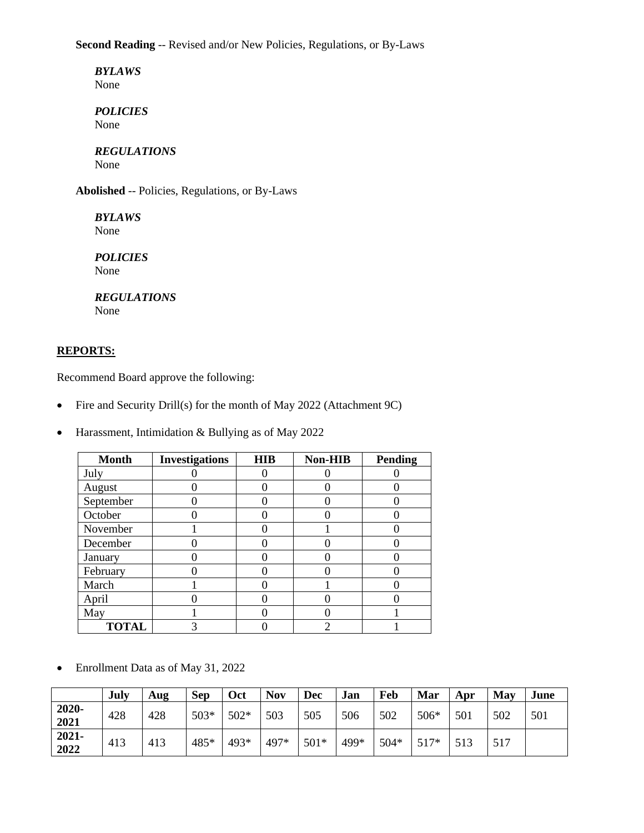**Second Reading** -- Revised and/or New Policies, Regulations, or By-Laws

*BYLAWS* None

*POLICIES* None

#### *REGULATIONS* None

**Abolished** -- Policies, Regulations, or By-Laws

*BYLAWS* None

*POLICIES* None

#### *REGULATIONS* None

### **REPORTS:**

Recommend Board approve the following:

- Fire and Security Drill(s) for the month of May 2022 (Attachment 9C)
- Harassment, Intimidation & Bullying as of May 2022

| <b>Month</b> | <b>Investigations</b> | <b>HIB</b> | <b>Non-HIB</b> | <b>Pending</b> |
|--------------|-----------------------|------------|----------------|----------------|
| July         |                       |            |                |                |
| August       |                       |            |                |                |
| September    |                       |            |                |                |
| October      |                       |            |                |                |
| November     |                       |            |                |                |
| December     |                       |            |                |                |
| January      |                       |            |                |                |
| February     |                       |            |                |                |
| March        |                       |            |                |                |
| April        |                       |            |                |                |
| May          |                       |            |                |                |
| <b>TOTAL</b> | 3                     |            |                |                |

• Enrollment Data as of May 31, 2022

|                  | July | Aug | <b>Sep</b> | Oct    | <b>Nov</b> | Dec    | Jan  | Feb  | Mar    | Apr | May | June |
|------------------|------|-----|------------|--------|------------|--------|------|------|--------|-----|-----|------|
| 2020-<br>2021    | 428  | 428 | $503*$     | $502*$ | 503        | 505    | 506  | 502  | 506*   | 501 | 502 | 501  |
| $2021 -$<br>2022 | 413  | 413 | 485*       | 493*   | 497*       | $501*$ | 499* | 504* | $517*$ | 513 | 517 |      |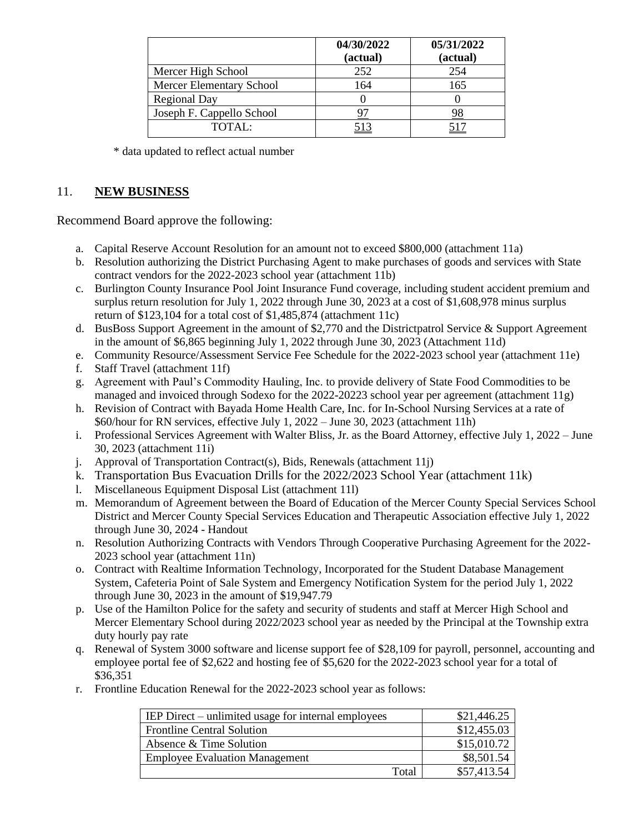|                           | 04/30/2022<br>(actual) | 05/31/2022<br>(actual) |
|---------------------------|------------------------|------------------------|
| Mercer High School        | 252                    | 254                    |
| Mercer Elementary School  | 164                    | 165                    |
| <b>Regional Day</b>       |                        |                        |
| Joseph F. Cappello School |                        |                        |
| TOTAI:                    |                        |                        |

\* data updated to reflect actual number

# 11. **NEW BUSINESS**

Recommend Board approve the following:

- a. Capital Reserve Account Resolution for an amount not to exceed \$800,000 (attachment 11a)
- b. Resolution authorizing the District Purchasing Agent to make purchases of goods and services with State contract vendors for the 2022-2023 school year (attachment 11b)
- c. Burlington County Insurance Pool Joint Insurance Fund coverage, including student accident premium and surplus return resolution for July 1, 2022 through June 30, 2023 at a cost of \$1,608,978 minus surplus return of \$123,104 for a total cost of \$1,485,874 (attachment 11c)
- d. BusBoss Support Agreement in the amount of \$2,770 and the Districtpatrol Service & Support Agreement in the amount of \$6,865 beginning July 1, 2022 through June 30, 2023 (Attachment 11d)
- e. Community Resource/Assessment Service Fee Schedule for the 2022-2023 school year (attachment 11e)
- f. Staff Travel (attachment 11f)
- g. Agreement with Paul's Commodity Hauling, Inc. to provide delivery of State Food Commodities to be managed and invoiced through Sodexo for the 2022-20223 school year per agreement (attachment 11g)
- h. Revision of Contract with Bayada Home Health Care, Inc. for In-School Nursing Services at a rate of \$60/hour for RN services, effective July 1, 2022 – June 30, 2023 (attachment 11h)
- i. Professional Services Agreement with Walter Bliss, Jr. as the Board Attorney, effective July 1, 2022 June 30, 2023 (attachment 11i)
- j. Approval of Transportation Contract(s), Bids, Renewals (attachment 11j)
- k. Transportation Bus Evacuation Drills for the 2022/2023 School Year (attachment 11k)
- l. Miscellaneous Equipment Disposal List (attachment 11l)
- m. Memorandum of Agreement between the Board of Education of the Mercer County Special Services School District and Mercer County Special Services Education and Therapeutic Association effective July 1, 2022 through June 30, 2024 - Handout
- n. Resolution Authorizing Contracts with Vendors Through Cooperative Purchasing Agreement for the 2022- 2023 school year (attachment 11n)
- o. Contract with Realtime Information Technology, Incorporated for the Student Database Management System, Cafeteria Point of Sale System and Emergency Notification System for the period July 1, 2022 through June 30, 2023 in the amount of \$19,947.79
- p. Use of the Hamilton Police for the safety and security of students and staff at Mercer High School and Mercer Elementary School during 2022/2023 school year as needed by the Principal at the Township extra duty hourly pay rate
- q. Renewal of System 3000 software and license support fee of \$28,109 for payroll, personnel, accounting and employee portal fee of \$2,622 and hosting fee of \$5,620 for the 2022-2023 school year for a total of \$36,351
- r. Frontline Education Renewal for the 2022-2023 school year as follows:

| IEP Direct – unlimited usage for internal employees | \$21,446.25 |
|-----------------------------------------------------|-------------|
| <b>Frontline Central Solution</b>                   | \$12,455.03 |
| Absence & Time Solution                             | \$15,010.72 |
| <b>Employee Evaluation Management</b>               | \$8,501.54  |
| Total                                               | \$57,413.54 |